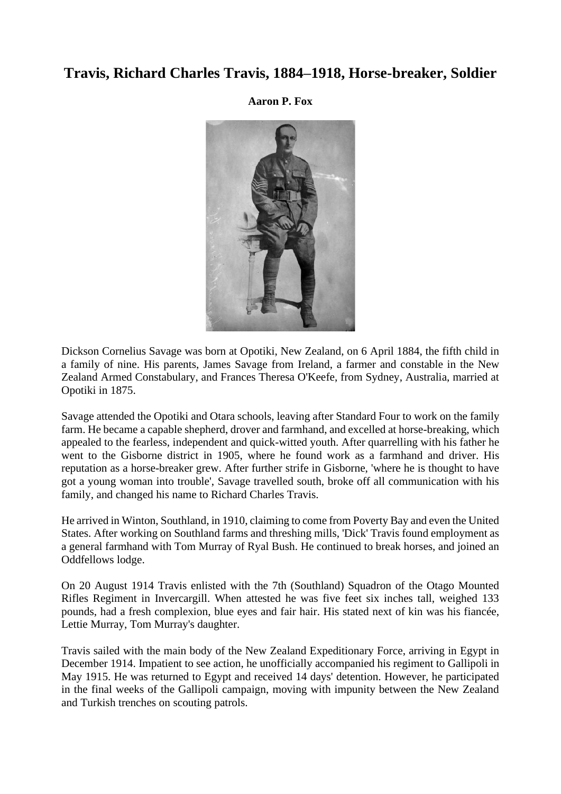### **Travis, Richard Charles Travis, 1884–1918, Horse-breaker, Soldier**

**Aaron P. Fox**



Dickson Cornelius Savage was born at Opotiki, New Zealand, on 6 April 1884, the fifth child in a family of nine. His parents, James Savage from Ireland, a farmer and constable in the New Zealand Armed Constabulary, and Frances Theresa O'Keefe, from Sydney, Australia, married at Opotiki in 1875.

Savage attended the Opotiki and Otara schools, leaving after Standard Four to work on the family farm. He became a capable shepherd, drover and farmhand, and excelled at horse-breaking, which appealed to the fearless, independent and quick-witted youth. After quarrelling with his father he went to the Gisborne district in 1905, where he found work as a farmhand and driver. His reputation as a horse-breaker grew. After further strife in Gisborne, 'where he is thought to have got a young woman into trouble', Savage travelled south, broke off all communication with his family, and changed his name to Richard Charles Travis.

He arrived in Winton, Southland, in 1910, claiming to come from Poverty Bay and even the United States. After working on Southland farms and threshing mills, 'Dick' Travis found employment as a general farmhand with Tom Murray of Ryal Bush. He continued to break horses, and joined an Oddfellows lodge.

On 20 August 1914 Travis enlisted with the 7th (Southland) Squadron of the Otago Mounted Rifles Regiment in Invercargill. When attested he was five feet six inches tall, weighed 133 pounds, had a fresh complexion, blue eyes and fair hair. His stated next of kin was his fiancée, Lettie Murray, Tom Murray's daughter.

Travis sailed with the main body of the New Zealand Expeditionary Force, arriving in Egypt in December 1914. Impatient to see action, he unofficially accompanied his regiment to Gallipoli in May 1915. He was returned to Egypt and received 14 days' detention. However, he participated in the final weeks of the Gallipoli campaign, moving with impunity between the New Zealand and Turkish trenches on scouting patrols.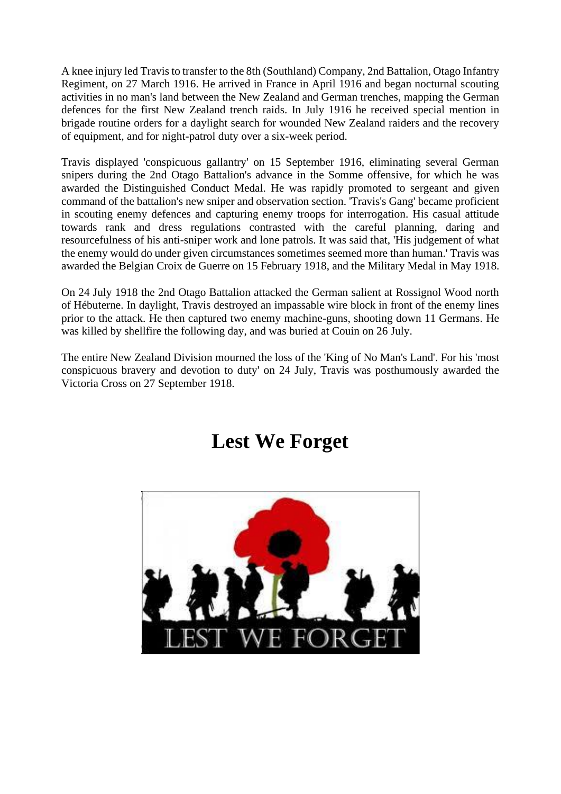A knee injury led Travis to transfer to the 8th (Southland) Company, 2nd Battalion, Otago Infantry Regiment, on 27 March 1916. He arrived in France in April 1916 and began nocturnal scouting activities in no man's land between the New Zealand and German trenches, mapping the German defences for the first New Zealand trench raids. In July 1916 he received special mention in brigade routine orders for a daylight search for wounded New Zealand raiders and the recovery of equipment, and for night-patrol duty over a six-week period.

Travis displayed 'conspicuous gallantry' on 15 September 1916, eliminating several German snipers during the 2nd Otago Battalion's advance in the Somme offensive, for which he was awarded the Distinguished Conduct Medal. He was rapidly promoted to sergeant and given command of the battalion's new sniper and observation section. 'Travis's Gang' became proficient in scouting enemy defences and capturing enemy troops for interrogation. His casual attitude towards rank and dress regulations contrasted with the careful planning, daring and resourcefulness of his anti-sniper work and lone patrols. It was said that, 'His judgement of what the enemy would do under given circumstances sometimes seemed more than human.' Travis was awarded the Belgian Croix de Guerre on 15 February 1918, and the Military Medal in May 1918.

On 24 July 1918 the 2nd Otago Battalion attacked the German salient at Rossignol Wood north of Hébuterne. In daylight, Travis destroyed an impassable wire block in front of the enemy lines prior to the attack. He then captured two enemy machine-guns, shooting down 11 Germans. He was killed by shellfire the following day, and was buried at Couin on 26 July.

The entire New Zealand Division mourned the loss of the 'King of No Man's Land'. For his 'most conspicuous bravery and devotion to duty' on 24 July, Travis was posthumously awarded the Victoria Cross on 27 September 1918.

## **Lest We Forget**

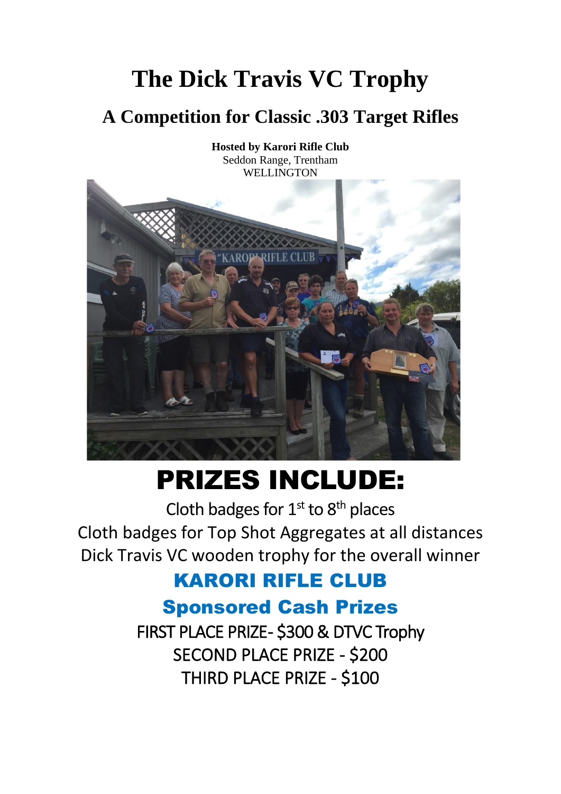# **The Dick Travis VC Trophy**

## **A Competition for Classic .303 Target Rifles**



# PRIZES INCLUDE:

Cloth badges for  $1<sup>st</sup>$  to  $8<sup>th</sup>$  places Cloth badges for Top Shot Aggregates at all distances Dick Travis VC wooden trophy for the overall winner

### KARORI RIFLE CLUB

### Sponsored Cash Prizes

FIRST PLACE PRIZE- \$300 & DTVC Trophy SECOND PLACE PRIZE - \$200 THIRD PLACE PRIZE - \$100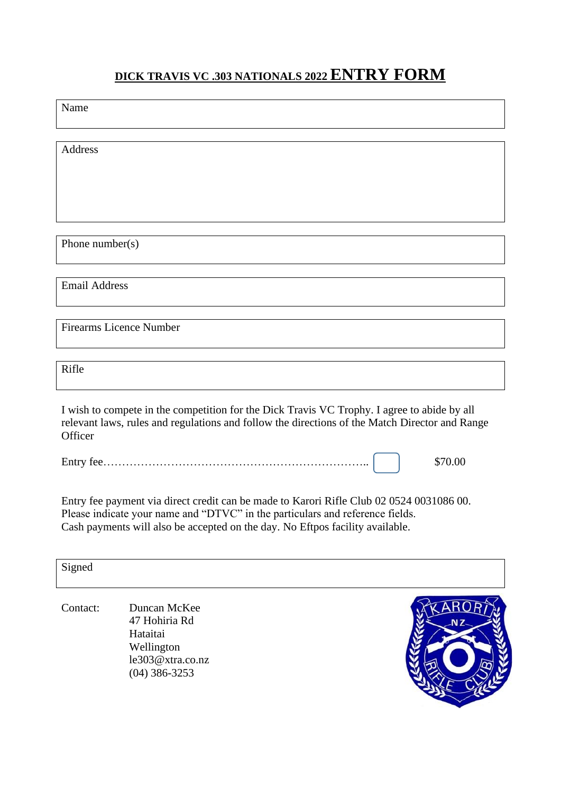### **DICK TRAVIS VC .303 NATIONALS 2022ENTRY FORM**

Name

Address

Phone number(s)

Email Address

Firearms Licence Number

Rifle

I wish to compete in the competition for the Dick Travis VC Trophy. I agree to abide by all relevant laws, rules and regulations and follow the directions of the Match Director and Range **Officer** 

Entry fee…………………………………………………………….. \$70.00

Entry fee payment via direct credit can be made to Karori Rifle Club 02 0524 0031086 00. Please indicate your name and "DTVC" in the particulars and reference fields. Cash payments will also be accepted on the day. No Eftpos facility available.

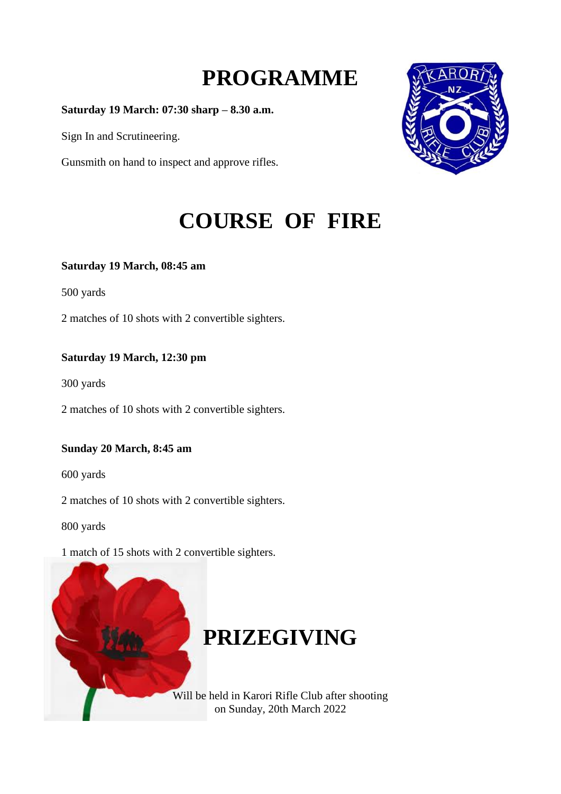## **PROGRAMME**

**Saturday 19 March: 07:30 sharp – 8.30 a.m.**

Sign In and Scrutineering.

Gunsmith on hand to inspect and approve rifles.



## **COURSE OF FIRE**

#### **Saturday 19 March, 08:45 am**

500 yards

2 matches of 10 shots with 2 convertible sighters.

### **Saturday 19 March, 12:30 pm**

300 yards

2 matches of 10 shots with 2 convertible sighters.

### **Sunday 20 March, 8:45 am**

600 yards

2 matches of 10 shots with 2 convertible sighters.

800 yards

1 match of 15 shots with 2 convertible sighters.



## **PRIZEGIVING**

Will be held in Karori Rifle Club after shooting on Sunday, 20th March 2022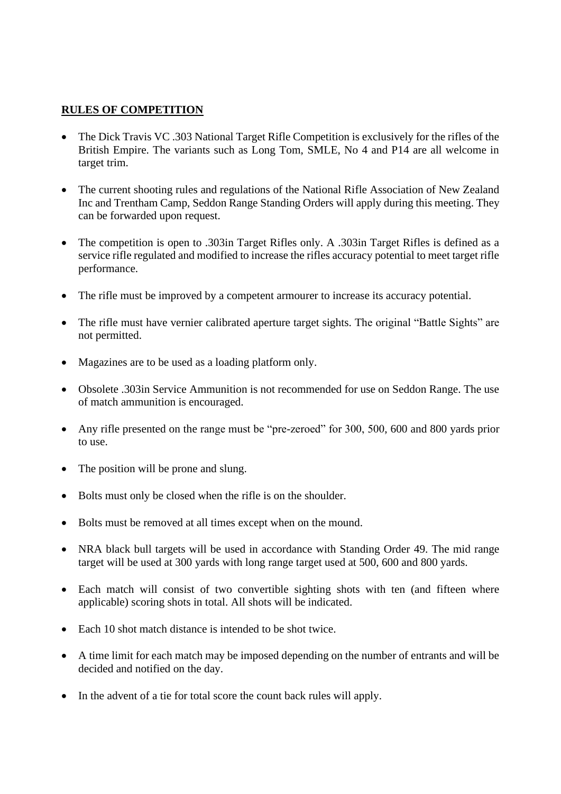### **RULES OF COMPETITION**

- The Dick Travis VC .303 National Target Rifle Competition is exclusively for the rifles of the British Empire. The variants such as Long Tom, SMLE, No 4 and P14 are all welcome in target trim.
- The current shooting rules and regulations of the National Rifle Association of New Zealand Inc and Trentham Camp, Seddon Range Standing Orders will apply during this meeting. They can be forwarded upon request.
- The competition is open to .303in Target Rifles only. A .303in Target Rifles is defined as a service rifle regulated and modified to increase the rifles accuracy potential to meet target rifle performance.
- The rifle must be improved by a competent armourer to increase its accuracy potential.
- The rifle must have vernier calibrated aperture target sights. The original "Battle Sights" are not permitted.
- Magazines are to be used as a loading platform only.
- Obsolete .303in Service Ammunition is not recommended for use on Seddon Range. The use of match ammunition is encouraged.
- Any rifle presented on the range must be "pre-zeroed" for 300, 500, 600 and 800 yards prior to use.
- The position will be prone and slung.
- Bolts must only be closed when the rifle is on the shoulder.
- Bolts must be removed at all times except when on the mound.
- NRA black bull targets will be used in accordance with Standing Order 49. The mid range target will be used at 300 yards with long range target used at 500, 600 and 800 yards.
- Each match will consist of two convertible sighting shots with ten (and fifteen where applicable) scoring shots in total. All shots will be indicated.
- Each 10 shot match distance is intended to be shot twice.
- A time limit for each match may be imposed depending on the number of entrants and will be decided and notified on the day.
- In the advent of a tie for total score the count back rules will apply.